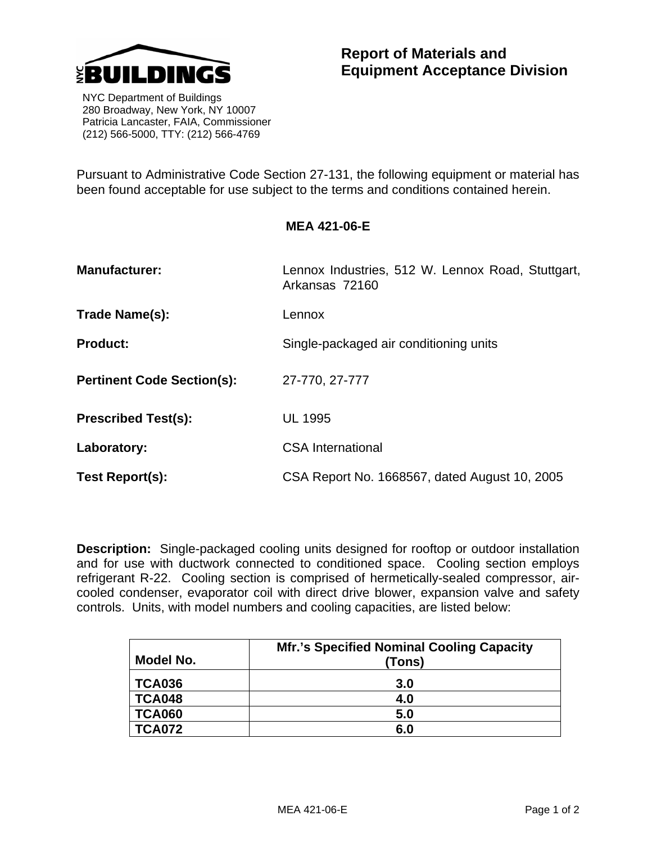

 NYC Department of Buildings 280 Broadway, New York, NY 10007 Patricia Lancaster, FAIA, Commissioner (212) 566-5000, TTY: (212) 566-4769

Pursuant to Administrative Code Section 27-131, the following equipment or material has been found acceptable for use subject to the terms and conditions contained herein.

**MEA 421-06-E** 

| <b>Manufacturer:</b>              | Lennox Industries, 512 W. Lennox Road, Stuttgart,<br>Arkansas 72160 |
|-----------------------------------|---------------------------------------------------------------------|
| Trade Name(s):                    | Lennox                                                              |
| <b>Product:</b>                   | Single-packaged air conditioning units                              |
| <b>Pertinent Code Section(s):</b> | 27-770, 27-777                                                      |
| <b>Prescribed Test(s):</b>        | <b>UL 1995</b>                                                      |
| Laboratory:                       | <b>CSA International</b>                                            |
| Test Report(s):                   | CSA Report No. 1668567, dated August 10, 2005                       |

**Description:** Single-packaged cooling units designed for rooftop or outdoor installation and for use with ductwork connected to conditioned space. Cooling section employs refrigerant R-22. Cooling section is comprised of hermetically-sealed compressor, aircooled condenser, evaporator coil with direct drive blower, expansion valve and safety controls. Units, with model numbers and cooling capacities, are listed below:

| Model No.     | <b>Mfr.'s Specified Nominal Cooling Capacity</b><br>(Tons) |
|---------------|------------------------------------------------------------|
| <b>TCA036</b> | 3.0                                                        |
| <b>TCA048</b> | 4.0                                                        |
| <b>TCA060</b> | 5.0                                                        |
| <b>TCA072</b> | 6.0                                                        |